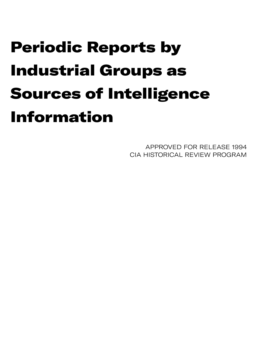## Periodic Reports by Industrial Groups as Sources of Intelligence Information

APPROVED FOR RELEASE 1994 CIA HISTORICAL REVIEW PROGRAM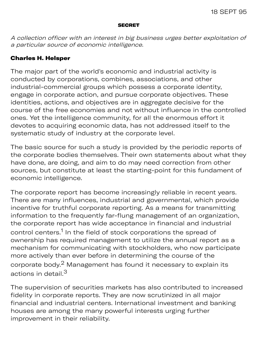## **SECRET**

A collection officer with an interest in big business urges better exploitation of a particular source of economic intelligence.

## Charles H. Helsper

The major part of the world's economic and industrial activity is conducted by corporations, combines, associations, and other industrial-commercial groups which possess a corporate identity, engage in corporate action, and pursue corporate objectives. These identities, actions, and objectives are in aggregate decisive for the course of the free economies and not without influence in the controlled ones. Yet the intelligence community, for all the enormous effort it devotes to acquiring economic data, has not addressed itself to the systematic study of industry at the corporate level.

The basic source for such a study is provided by the periodic reports of the corporate bodies themselves. Their own statements about what they have done, are doing, and aim to do may need correction from other sources, but constitute at least the starting-point for this fundament of economic intelligence.

The corporate report has become increasingly reliable in recent years. There are many influences, industrial and governmental, which provide incentive for truthful corporate reporting. As a means for transmitting information to the frequently far-flung management of an organization, the corporate report has wide acceptance in financial and industrial control centers.<sup>1</sup> In the field of stock corporations the spread of ownership has required management to utilize the annual report as a mechanism for communicating with stockholders, who now participate more actively than ever before in determining the course of the corporate body.<sup>2</sup> Management has found it necessary to explain its actions in detail.<sup>3</sup>

The supervision of securities markets has also contributed to increased fidelity in corporate reports. They are now scrutinized in all major financial and industrial centers. International investment and banking houses are among the many powerful interests urging further improvement in their reliability.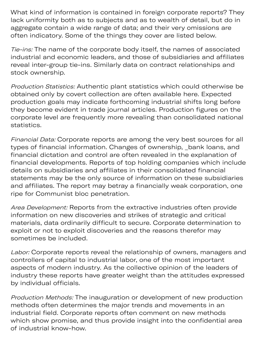What kind of information is contained in foreign corporate reports? They lack uniformity both as to subjects and as to wealth of detail, but do in aggregate contain a wide range of data; and their very omissions are often indicatory. Some of the things they cover are listed below.

Tie-ins: The name of the corporate body itself, the names of associated industrial and economic leaders, and those of subsidiaries and affiliates reveal inter-group tie-ins. Similarly data on contract relationships and stock ownership.

Production Statistics: Authentic plant statistics which could otherwise be obtained only by covert collection are often available here. Expected production goals may indicate forthcoming industrial shifts long before they become evident in trade journal articles. Production figures on the corporate level are frequently more revealing than consolidated national statistics.

Financial Data: Corporate reports are among the very best sources for all types of financial information. Changes of ownership, \_bank loans, and financial dictation and control are often revealed in the explanation of financial developments. Reports of top holding companies which include details on subsidiaries and affiliates in their consolidated financial statements may be the only source of information on these subsidiaries and affiliates. The report may betray a financially weak corporation, one ripe for Communist bloc penetration.

Area Development: Reports from the extractive industries often provide information on new discoveries and strikes of strategic and critical materials, data ordinarily difficult to secure. Corporate determination to exploit or not to exploit discoveries and the reasons therefor may sometimes be included.

Labor: Corporate reports reveal the relationship of owners, managers and controllers of capital to industrial labor, one of the most important aspects of modern industry. As the collective opinion of the leaders of industry these reports have greater weight than the attitudes expressed by individual officials.

Production Methods: The inauguration or development of new production methods often determines the major trends and movements in an industrial field. Corporate reports often comment on new methods which show promise, and thus provide insight into the confidential area of industrial know-how.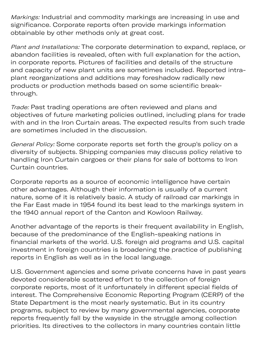Markings: Industrial and commodity markings are increasing in use and significance. Corporate reports often provide markings information obtainable by other methods only at great cost.

Plant and Installations: The corporate determination to expand, replace, or abandon facilities is revealed, often with full explanation for the action, in corporate reports. Pictures of facilities and details of the structure and capacity of new plant units are sometimes included. Reported intraplant reorganizations and additions may foreshadow radically new products or production methods based on some scientific breakthrough.

Trade: Past trading operations are often reviewed and plans and objectives of future marketing policies outlined, including plans for trade with and in the Iron Curtain areas. The expected results from such trade are sometimes included in the discussion.

General Policy: Some corporate reports set forth the group's policy on a diversity of subjects. Shipping companies may discuss policy relative to handling Iron Curtain cargoes or their plans for sale of bottoms to Iron Curtain countries.

Corporate reports as a source of economic intelligence have certain other advantages. Although their information is usually of a current nature, some of it is relatively basic. A study of railroad car markings in the Far East made in 1954 found its best lead to the markings system in the 1940 annual report of the Canton and Kowloon Railway.

Another advantage of the reports is their frequent availability in English, because of the predominance of the English-speaking nations in financial markets of the world. U.S. foreign aid programs and U.S. capital investment in foreign countries is broadening the practice of publishing reports in English as well as in the local language.

U.S. Government agencies and some private concerns have in past years devoted considerable scattered effort to the collection of foreign corporate reports, most of it unfortunately in different special fields of interest. The Comprehensive Economic Reporting Program (CERP) of the State Department is the most nearly systematic. But in its country programs, subject to review by many governmental agencies, corporate reports frequently fall by the wayside in the struggle among collection priorities. Its directives to the collectors in many countries contain little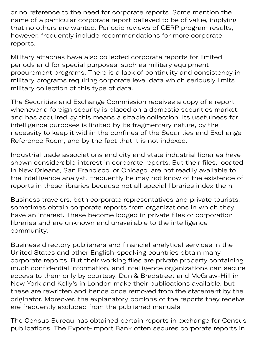or no reference to the need for corporate reports. Some mention the name of a particular corporate report believed to be of value, implying that no others are wanted. Periodic reviews of CERP program results, however, frequently include recommendations for more corporate reports.

priorities in the contract of the contract of the contract of the contract of the contract of the contract of

Military attaches have also collected corporate reports for limited periods and for special purposes, such as military equipment procurement programs. There is a lack of continuity and consistency in military programs requiring corporate level data which seriously limits military collection of this type of data.

The Securities and Exchange Commission receives a copy of a report whenever a foreign security is placed on a domestic securities market, and has acquired by this means a sizable collection. Its usefulness for intelligence purposes is limited by its fragmentary nature, by the necessity to keep it within the confines of the Securities and Exchange Reference Room, and by the fact that it is not indexed.

Industrial trade associations and city and state industrial libraries have shown considerable interest in corporate reports. But their files, located in New Orleans, San Francisco, or Chicago, are not readily available to the intelligence analyst. Frequently he may not know of the existence of reports in these libraries because not all special libraries index them.

Business travelers, both corporate representatives and private tourists, sometimes obtain corporate reports from organizations in which they have an interest. These become lodged in private files or corporation libraries and are unknown and unavailable to the intelligence community.

Business directory publishers and financial analytical services in the United States and other English-speaking countries obtain many corporate reports. But their working files are private property containing much confidential information, and intelligence organizations can secure access to them only by courtesy. Dun & Bradstreet and McGraw-Hill in New York and Kelly's in London make their publications available, but these are rewritten and hence once removed from the statement by the originator. Moreover, the explanatory portions of the reports they receive are frequently excluded from the published manuals.

The Census Bureau has obtained certain reports in exchange for Census publications. The Export-Import Bank often secures corporate reports in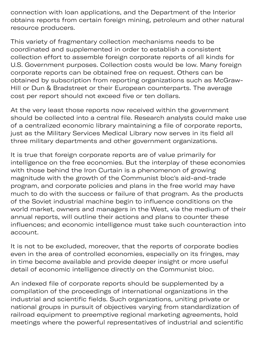connection with loan applications, and the Department of the Interior obtains reports from certain foreign mining, petroleum and other natural resource producers.

p xp p orp ep

This variety of fragmentary collection mechanisms needs to be coordinated and supplemented in order to establish a consistent collection effort to assemble foreign corporate reports of all kinds for U.S. Government purposes. Collection costs would be low. Many foreign corporate reports can be obtained free on request. Others can be obtained by subscription from reporting organizations such as McGraw-Hill or Dun & Bradstreet or their European counterparts. The average cost per report should not exceed five or ten dollars.

At the very least those reports now received within the government should be collected into a central file. Research analysts could make use of a centralized economic library maintaining a file of corporate reports, just as the Military Services Medical Library now serves in its field all three military departments and other government organizations.

It is true that foreign corporate reports are of value primarily for intelligence on the free economies. But the interplay of these economies with those behind the Iron Curtain is a phenomenon of growing magnitude with the growth of the Communist bloc's aid-and-trade program, and corporate policies and plans in the free world may have much to do with the success or failure of that program. As the products of the Soviet industrial machine begin to influence conditions on the world market, owners and managers in the West, via the medium of their annual reports, will outline their actions and plans to counter these influences; and economic intelligence must take such counteraction into account.

It is not to be excluded, moreover, that the reports of corporate bodies even in the area of controlled economies, especially on its fringes, may in time become available and provide deeper insight or more useful detail of economic intelligence directly on the Communist bloc.

An indexed file of corporate reports should be supplemented by a compilation of the proceedings of international organizations in the industrial and scientific fields. Such organizations, uniting private or national groups in pursuit of objectives varying from standardization of railroad equipment to preemptive regional marketing agreements, hold meetings where the powerful representatives of industrial and scientific